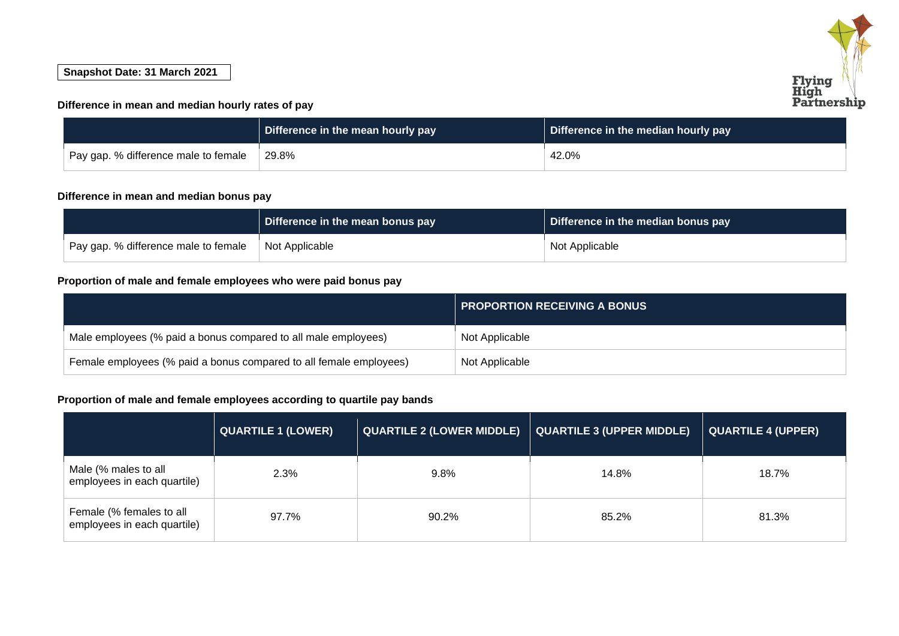# **Flying<br>High<br>Partnership**

### **Snapshot Date: 31 March 2021**

### **Difference in mean and median hourly rates of pay**

|                                      | Difference in the mean hourly pay | Difference in the median hourly pay |
|--------------------------------------|-----------------------------------|-------------------------------------|
| Pay gap. % difference male to female | 29.8%                             | 42.0%                               |

### **Difference in mean and median bonus pay**

|                                      | Difference in the mean bonus pay | Difference in the median bonus pay |
|--------------------------------------|----------------------------------|------------------------------------|
| Pay gap. % difference male to female | Not Applicable                   | Not Applicable                     |

## **Proportion of male and female employees who were paid bonus pay**

|                                                                    | <b>PROPORTION RECEIVING A BONUS</b> |
|--------------------------------------------------------------------|-------------------------------------|
| Male employees (% paid a bonus compared to all male employees)     | Not Applicable                      |
| Female employees (% paid a bonus compared to all female employees) | Not Applicable                      |

# **Proportion of male and female employees according to quartile pay bands**

|                                                         | <b>QUARTILE 1 (LOWER)</b> | <b>QUARTILE 2 (LOWER MIDDLE)</b> | <b>QUARTILE 3 (UPPER MIDDLE)</b> | <b>QUARTILE 4 (UPPER)</b> |
|---------------------------------------------------------|---------------------------|----------------------------------|----------------------------------|---------------------------|
| Male (% males to all<br>employees in each quartile)     | 2.3%                      | 9.8%                             | 14.8%                            | 18.7%                     |
| Female (% females to all<br>employees in each quartile) | 97.7%                     | 90.2%                            | 85.2%                            | 81.3%                     |